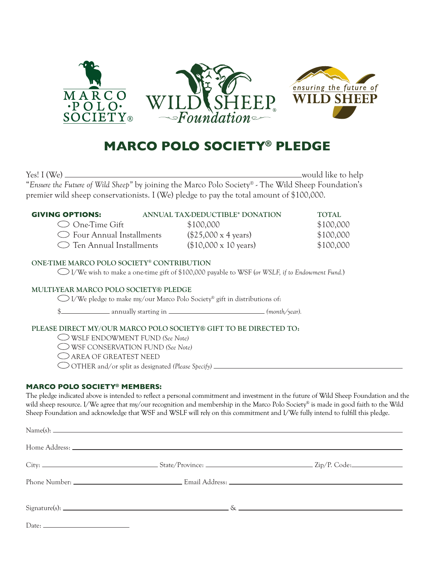

# **MARCO POLO SOCIETY® PLEDGE**

Yes! I (We) would like to help "*Ensure the Future of Wild Sheep"* by joining the Marco Polo Society*®* - The Wild Sheep Foundation's premier wild sheep conservationists. I (We) pledge to pay the total amount of \$100,000.

| <b>GIVING OPTIONS:</b>           | ANNUAL TAX-DEDUCTIBLE* DONATION     | TOTAL     |
|----------------------------------|-------------------------------------|-----------|
| $\bigcirc$ One-Time Gift         | \$100,000                           | \$100,000 |
| $\circ$ Four Annual Installments | $($25,000 \times 4 \text{ years})$  | \$100,000 |
| $\circ$ Ten Annual Installments  | $($10,000 \times 10 \text{ years})$ | \$100,000 |

# ONE-TIME MARCO POLO SOCIETY® CONTRIBUTION

I/We wish to make a one-time gift of \$100,000 payable to WSF (*or WSLF, if to Endowment Fund.*)

# MULTI-YEAR MARCO POLO SOCIETY® PLEDGE

 $\bigcirc$  I/We pledge to make my/our Marco Polo Society® gift in distributions of:

\$ annually starting in *(month/year).*

# PLEASE DIRECT MY/OUR MARCO POLO SOCIETY® GIFT TO BE DIRECTED TO:

WSLF ENDOWMENT FUND *(See Note)*

WSF CONSERVATION FUND *(See Note)*

AREA OF GREATEST NEED

OTHER and/or split as designated *(Please Specify)* 

#### **MARCO POLO SOCIETY® MEMBERS:**

The pledge indicated above is intended to reflect a personal commitment and investment in the future of Wild Sheep Foundation and the wild sheep resource. I/We agree that my/our recognition and membership in the Marco Polo Society® is made in good faith to the Wild Sheep Foundation and acknowledge that WSF and WSLF will rely on this commitment and I/We fully intend to fulfill this pledge.

| $Name(s):$ $\qquad \qquad$ $\qquad \qquad$ $\qquad \qquad$ $\qquad \qquad$ $\qquad \qquad$ $\qquad \qquad$ $\qquad \qquad$ $\qquad \qquad$ $\qquad \qquad$ $\qquad \qquad$ $\qquad \qquad$ $\qquad \qquad$ $\qquad \qquad$ $\qquad \qquad$ $\qquad \qquad$ $\qquad \qquad$ $\qquad \qquad$ $\qquad \qquad$ $\qquad \qquad$ $\qquad \qquad$ $\qquad \qquad$ $\qquad \qquad$ $\qquad \qquad$ $\qquad \qquad$ |  |
|------------------------------------------------------------------------------------------------------------------------------------------------------------------------------------------------------------------------------------------------------------------------------------------------------------------------------------------------------------------------------------------------------------|--|
|                                                                                                                                                                                                                                                                                                                                                                                                            |  |
|                                                                                                                                                                                                                                                                                                                                                                                                            |  |
|                                                                                                                                                                                                                                                                                                                                                                                                            |  |
| $Signature(s):$ $\&$                                                                                                                                                                                                                                                                                                                                                                                       |  |
|                                                                                                                                                                                                                                                                                                                                                                                                            |  |